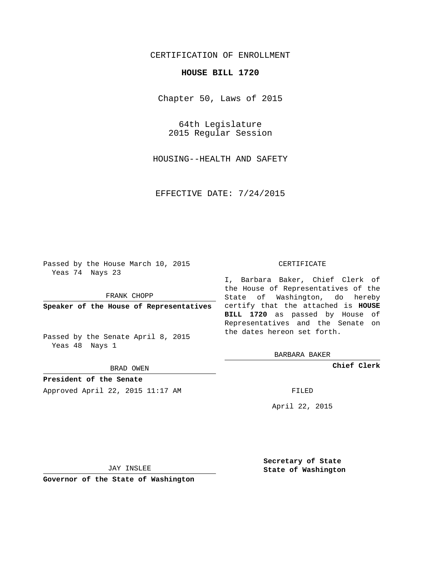# CERTIFICATION OF ENROLLMENT

### **HOUSE BILL 1720**

Chapter 50, Laws of 2015

64th Legislature 2015 Regular Session

HOUSING--HEALTH AND SAFETY

EFFECTIVE DATE: 7/24/2015

Passed by the House March 10, 2015 Yeas 74 Nays 23

FRANK CHOPP

Passed by the Senate April 8, 2015 Yeas 48 Nays 1

BRAD OWEN

**President of the Senate**

Approved April 22, 2015 11:17 AM FILED

#### CERTIFICATE

**Speaker of the House of Representatives** certify that the attached is **HOUSE** I, Barbara Baker, Chief Clerk of the House of Representatives of the State of Washington, do hereby **BILL 1720** as passed by House of Representatives and the Senate on the dates hereon set forth.

BARBARA BAKER

**Chief Clerk**

April 22, 2015

JAY INSLEE

**Governor of the State of Washington**

**Secretary of State State of Washington**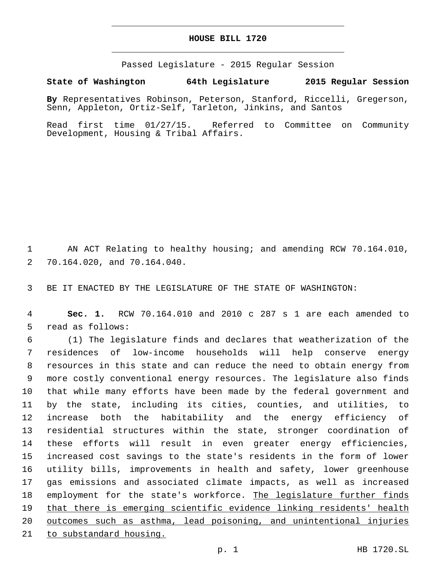### **HOUSE BILL 1720**

Passed Legislature - 2015 Regular Session

## **State of Washington 64th Legislature 2015 Regular Session**

**By** Representatives Robinson, Peterson, Stanford, Riccelli, Gregerson, Senn, Appleton, Ortiz-Self, Tarleton, Jinkins, and Santos

Read first time 01/27/15. Referred to Committee on Community Development, Housing & Tribal Affairs.

 AN ACT Relating to healthy housing; and amending RCW 70.164.010, 70.164.020, and 70.164.040.2

BE IT ENACTED BY THE LEGISLATURE OF THE STATE OF WASHINGTON:

 **Sec. 1.** RCW 70.164.010 and 2010 c 287 s 1 are each amended to 5 read as follows:

 (1) The legislature finds and declares that weatherization of the residences of low-income households will help conserve energy resources in this state and can reduce the need to obtain energy from more costly conventional energy resources. The legislature also finds that while many efforts have been made by the federal government and by the state, including its cities, counties, and utilities, to increase both the habitability and the energy efficiency of residential structures within the state, stronger coordination of these efforts will result in even greater energy efficiencies, increased cost savings to the state's residents in the form of lower utility bills, improvements in health and safety, lower greenhouse gas emissions and associated climate impacts, as well as increased employment for the state's workforce. The legislature further finds that there is emerging scientific evidence linking residents' health outcomes such as asthma, lead poisoning, and unintentional injuries to substandard housing.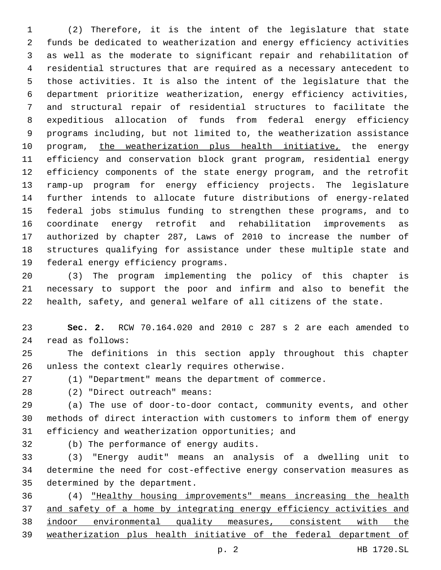(2) Therefore, it is the intent of the legislature that state funds be dedicated to weatherization and energy efficiency activities as well as the moderate to significant repair and rehabilitation of residential structures that are required as a necessary antecedent to those activities. It is also the intent of the legislature that the department prioritize weatherization, energy efficiency activities, and structural repair of residential structures to facilitate the expeditious allocation of funds from federal energy efficiency programs including, but not limited to, the weatherization assistance program, the weatherization plus health initiative, the energy efficiency and conservation block grant program, residential energy efficiency components of the state energy program, and the retrofit ramp-up program for energy efficiency projects. The legislature further intends to allocate future distributions of energy-related federal jobs stimulus funding to strengthen these programs, and to coordinate energy retrofit and rehabilitation improvements as authorized by chapter 287, Laws of 2010 to increase the number of structures qualifying for assistance under these multiple state and 19 federal energy efficiency programs.

 (3) The program implementing the policy of this chapter is necessary to support the poor and infirm and also to benefit the health, safety, and general welfare of all citizens of the state.

 **Sec. 2.** RCW 70.164.020 and 2010 c 287 s 2 are each amended to read as follows:24

 The definitions in this section apply throughout this chapter 26 unless the context clearly requires otherwise.

(1) "Department" means the department of commerce.

(2) "Direct outreach" means:28

 (a) The use of door-to-door contact, community events, and other methods of direct interaction with customers to inform them of energy 31 efficiency and weatherization opportunities; and

32 (b) The performance of energy audits.

 (3) "Energy audit" means an analysis of a dwelling unit to determine the need for cost-effective energy conservation measures as 35 determined by the department.

 (4) "Healthy housing improvements" means increasing the health and safety of a home by integrating energy efficiency activities and indoor environmental quality measures, consistent with the weatherization plus health initiative of the federal department of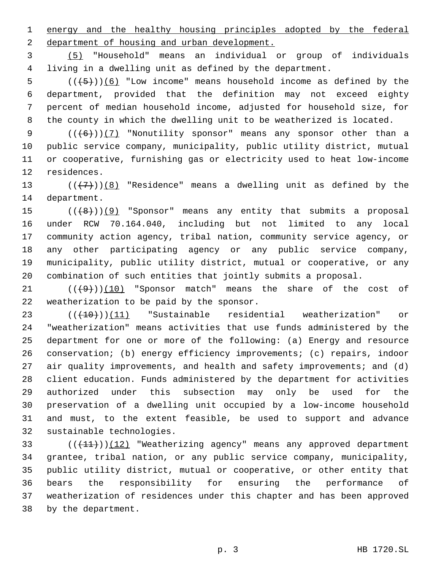energy and the healthy housing principles adopted by the federal 2 department of housing and urban development.

 (5) "Household" means an individual or group of individuals living in a dwelling unit as defined by the department.

 ( $(\overline{+5})$ )(6) "Low income" means household income as defined by the department, provided that the definition may not exceed eighty percent of median household income, adjusted for household size, for the county in which the dwelling unit to be weatherized is located.

 $((+6))$  (7) "Nonutility sponsor" means any sponsor other than a public service company, municipality, public utility district, mutual or cooperative, furnishing gas or electricity used to heat low-income 12 residences.

13 ( $(\overline{+7})$ )(8) "Residence" means a dwelling unit as defined by the 14 department.

 ( $(\frac{48}{})$ )(9) "Sponsor" means any entity that submits a proposal under RCW 70.164.040, including but not limited to any local community action agency, tribal nation, community service agency, or any other participating agency or any public service company, municipality, public utility district, mutual or cooperative, or any combination of such entities that jointly submits a proposal.

 $(1 + 9)$  ( $(10)$  "Sponsor match" means the share of the cost of 22 weatherization to be paid by the sponsor.

23 ( $(410)$ )(11) "Sustainable residential weatherization" or "weatherization" means activities that use funds administered by the department for one or more of the following: (a) Energy and resource conservation; (b) energy efficiency improvements; (c) repairs, indoor 27 air quality improvements, and health and safety improvements; and (d) client education. Funds administered by the department for activities authorized under this subsection may only be used for the preservation of a dwelling unit occupied by a low-income household and must, to the extent feasible, be used to support and advance 32 sustainable technologies.

 $((+11)) (12)$  "Weatherizing agency" means any approved department grantee, tribal nation, or any public service company, municipality, public utility district, mutual or cooperative, or other entity that bears the responsibility for ensuring the performance of weatherization of residences under this chapter and has been approved 38 by the department.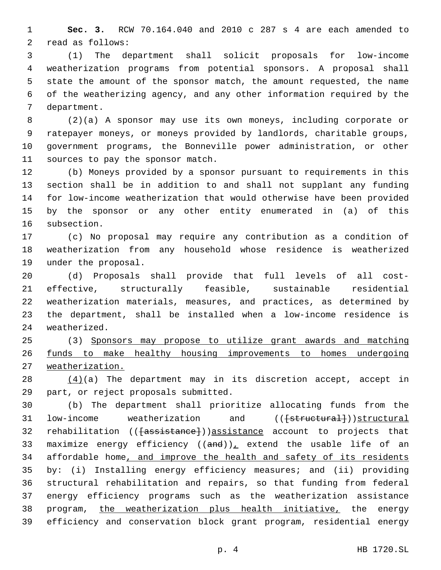**Sec. 3.** RCW 70.164.040 and 2010 c 287 s 4 are each amended to 2 read as follows:

 (1) The department shall solicit proposals for low-income weatherization programs from potential sponsors. A proposal shall state the amount of the sponsor match, the amount requested, the name of the weatherizing agency, and any other information required by the 7 department.

 (2)(a) A sponsor may use its own moneys, including corporate or ratepayer moneys, or moneys provided by landlords, charitable groups, government programs, the Bonneville power administration, or other 11 sources to pay the sponsor match.

 (b) Moneys provided by a sponsor pursuant to requirements in this section shall be in addition to and shall not supplant any funding for low-income weatherization that would otherwise have been provided by the sponsor or any other entity enumerated in (a) of this 16 subsection.

 (c) No proposal may require any contribution as a condition of weatherization from any household whose residence is weatherized 19 under the proposal.

 (d) Proposals shall provide that full levels of all cost- effective, structurally feasible, sustainable residential weatherization materials, measures, and practices, as determined by the department, shall be installed when a low-income residence is 24 weatherized.

 (3) Sponsors may propose to utilize grant awards and matching funds to make healthy housing improvements to homes undergoing weatherization.

28  $(4)(a)$  The department may in its discretion accept, accept in 29 part, or reject proposals submitted.

 (b) The department shall prioritize allocating funds from the 31 low-income weatherization and ((<del>[structural]</del>))structural 32 rehabilitation (( $\{\text{assistance}\}$ ))assistance account to projects that 33 maximize energy efficiency  $((and))_L$  extend the usable life of an affordable home, and improve the health and safety of its residents by: (i) Installing energy efficiency measures; and (ii) providing structural rehabilitation and repairs, so that funding from federal energy efficiency programs such as the weatherization assistance 38 program, the weatherization plus health initiative, the energy efficiency and conservation block grant program, residential energy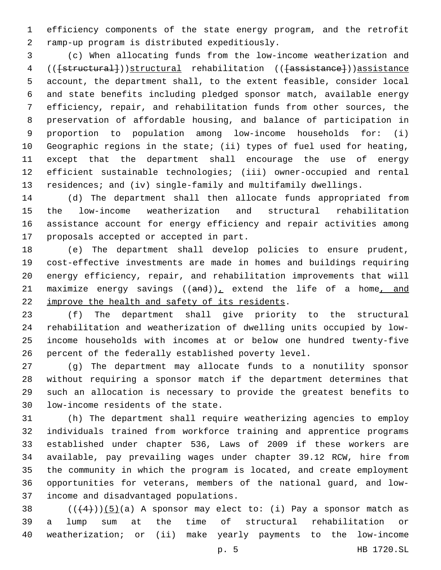efficiency components of the state energy program, and the retrofit ramp-up program is distributed expeditiously.2

 (c) When allocating funds from the low-income weatherization and (([structural]))structural rehabilitation (([assistance]))assistance account, the department shall, to the extent feasible, consider local and state benefits including pledged sponsor match, available energy efficiency, repair, and rehabilitation funds from other sources, the preservation of affordable housing, and balance of participation in proportion to population among low-income households for: (i) Geographic regions in the state; (ii) types of fuel used for heating, except that the department shall encourage the use of energy efficient sustainable technologies; (iii) owner-occupied and rental residences; and (iv) single-family and multifamily dwellings.

 (d) The department shall then allocate funds appropriated from the low-income weatherization and structural rehabilitation assistance account for energy efficiency and repair activities among 17 proposals accepted or accepted in part.

 (e) The department shall develop policies to ensure prudent, cost-effective investments are made in homes and buildings requiring energy efficiency, repair, and rehabilitation improvements that will 21 maximize energy savings  $((and))_L$  extend the life of a home, and 22 improve the health and safety of its residents.

 (f) The department shall give priority to the structural rehabilitation and weatherization of dwelling units occupied by low- income households with incomes at or below one hundred twenty-five percent of the federally established poverty level.

 (g) The department may allocate funds to a nonutility sponsor without requiring a sponsor match if the department determines that such an allocation is necessary to provide the greatest benefits to 30 low-income residents of the state.

 (h) The department shall require weatherizing agencies to employ individuals trained from workforce training and apprentice programs established under chapter 536, Laws of 2009 if these workers are available, pay prevailing wages under chapter 39.12 RCW, hire from the community in which the program is located, and create employment opportunities for veterans, members of the national guard, and low-37 income and disadvantaged populations.

38  $(((4)))(5)(a)$  A sponsor may elect to: (i) Pay a sponsor match as a lump sum at the time of structural rehabilitation or weatherization; or (ii) make yearly payments to the low-income